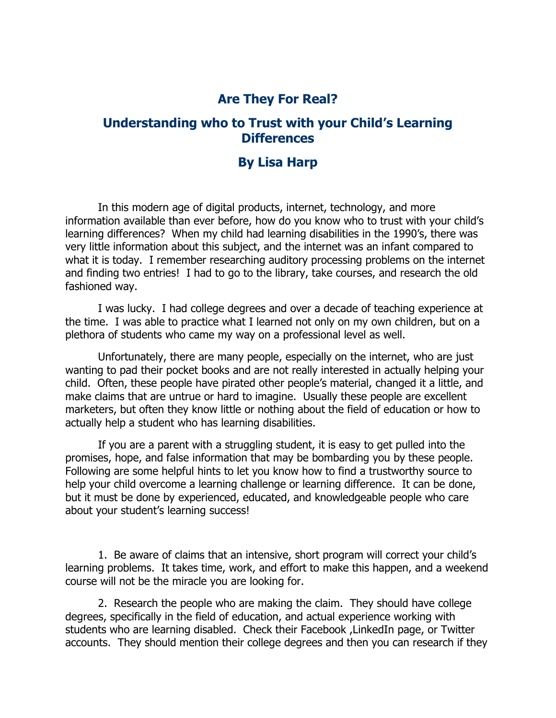## **Are They For Real?**

## **Understanding who to Trust with your Child's Learning Differences**

## **By Lisa Harp**

In this modern age of digital products, internet, technology, and more information available than ever before, how do you know who to trust with your child's learning differences? When my child had learning disabilities in the 1990's, there was very little information about this subject, and the internet was an infant compared to what it is today. I remember researching auditory processing problems on the internet and finding two entries! I had to go to the library, take courses, and research the old fashioned way.

I was lucky. I had college degrees and over a decade of teaching experience at the time. I was able to practice what I learned not only on my own children, but on a plethora of students who came my way on a professional level as well.

Unfortunately, there are many people, especially on the internet, who are just wanting to pad their pocket books and are not really interested in actually helping your child. Often, these people have pirated other people's material, changed it a little, and make claims that are untrue or hard to imagine. Usually these people are excellent marketers, but often they know little or nothing about the field of education or how to actually help a student who has learning disabilities.

If you are a parent with a struggling student, it is easy to get pulled into the promises, hope, and false information that may be bombarding you by these people. Following are some helpful hints to let you know how to find a trustworthy source to help your child overcome a learning challenge or learning difference. It can be done, but it must be done by experienced, educated, and knowledgeable people who care about your student's learning success!

1. Be aware of claims that an intensive, short program will correct your child's learning problems. It takes time, work, and effort to make this happen, and a weekend course will not be the miracle you are looking for.

2. Research the people who are making the claim. They should have college degrees, specifically in the field of education, and actual experience working with students who are learning disabled. Check their Facebook ,LinkedIn page, or Twitter accounts. They should mention their college degrees and then you can research if they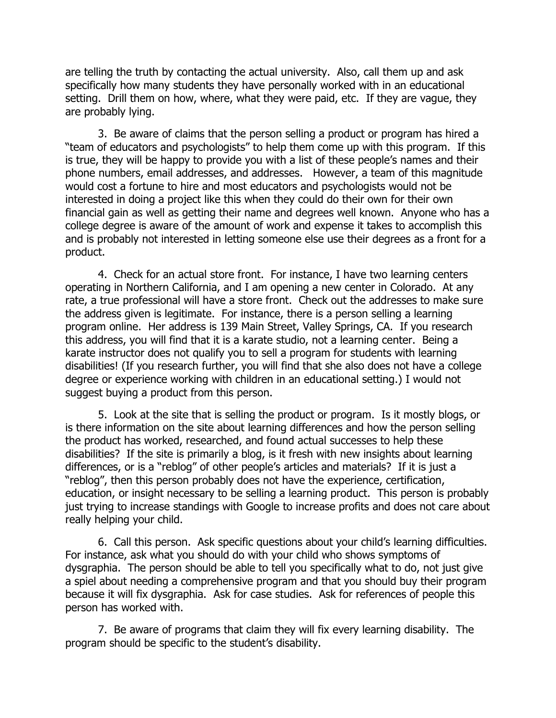are telling the truth by contacting the actual university. Also, call them up and ask specifically how many students they have personally worked with in an educational setting. Drill them on how, where, what they were paid, etc. If they are vague, they are probably lying.

3. Be aware of claims that the person selling a product or program has hired a "team of educators and psychologists" to help them come up with this program. If this is true, they will be happy to provide you with a list of these people's names and their phone numbers, email addresses, and addresses. However, a team of this magnitude would cost a fortune to hire and most educators and psychologists would not be interested in doing a project like this when they could do their own for their own financial gain as well as getting their name and degrees well known. Anyone who has a college degree is aware of the amount of work and expense it takes to accomplish this and is probably not interested in letting someone else use their degrees as a front for a product.

4. Check for an actual store front. For instance, I have two learning centers operating in Northern California, and I am opening a new center in Colorado. At any rate, a true professional will have a store front. Check out the addresses to make sure the address given is legitimate. For instance, there is a person selling a learning program online. Her address is 139 Main Street, Valley Springs, CA. If you research this address, you will find that it is a karate studio, not a learning center. Being a karate instructor does not qualify you to sell a program for students with learning disabilities! (If you research further, you will find that she also does not have a college degree or experience working with children in an educational setting.) I would not suggest buying a product from this person.

5. Look at the site that is selling the product or program. Is it mostly blogs, or is there information on the site about learning differences and how the person selling the product has worked, researched, and found actual successes to help these disabilities? If the site is primarily a blog, is it fresh with new insights about learning differences, or is a "reblog" of other people's articles and materials? If it is just a "reblog", then this person probably does not have the experience, certification, education, or insight necessary to be selling a learning product. This person is probably just trying to increase standings with Google to increase profits and does not care about really helping your child.

6. Call this person. Ask specific questions about your child's learning difficulties. For instance, ask what you should do with your child who shows symptoms of dysgraphia. The person should be able to tell you specifically what to do, not just give a spiel about needing a comprehensive program and that you should buy their program because it will fix dysgraphia. Ask for case studies. Ask for references of people this person has worked with.

7. Be aware of programs that claim they will fix every learning disability. The program should be specific to the student's disability.